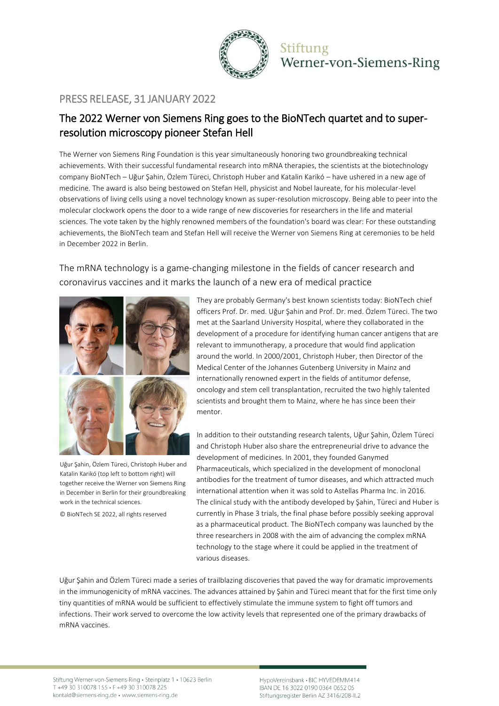

Stiftung Werner-von-Siemens-Ring

### PRESS RELEASE, 31 JANUARY 2022

# The 2022 Werner von Siemens Ring goes to the BioNTech quartet and to superresolution microscopy pioneer Stefan Hell

The Werner von Siemens Ring Foundation is this year simultaneously honoring two groundbreaking technical achievements. With their successful fundamental research into mRNA therapies, the scientists at the biotechnology company BioNTech – Uğur Şahin, Özlem Türeci, Christoph Huber and Katalin Karikó – have ushered in a new age of medicine. The award is also being bestowed on Stefan Hell, physicist and Nobel laureate, for his molecular-level observations of living cells using a novel technology known as super-resolution microscopy. Being able to peer into the molecular clockwork opens the door to a wide range of new discoveries for researchers in the life and material sciences. The vote taken by the highly renowned members of the foundation's board was clear: For these outstanding achievements, the BioNTech team and Stefan Hell will receive the Werner von Siemens Ring at ceremonies to be held in December 2022 in Berlin.

### The mRNA technology is a game-changing milestone in the fields of cancer research and coronavirus vaccines and it marks the launch of a new era of medical practice



Uğur Şahin, Özlem Türeci, Christoph Huber and Katalin Karikó (top left to bottom right) will together receive the Werner von Siemens Ring in December in Berlin for their groundbreaking work in the technical sciences.

© BioNTech SE 2022, all rights reserved

They are probably Germany's best known scientists today: BioNTech chief officers Prof. Dr. med. Uğur Şahin and Prof. Dr. med. Özlem Türeci. The two met at the Saarland University Hospital, where they collaborated in the development of a procedure for identifying human cancer antigens that are relevant to immunotherapy, a procedure that would find application around the world. In 2000/2001, Christoph Huber, then Director of the Medical Center of the Johannes Gutenberg University in Mainz and internationally renowned expert in the fields of antitumor defense, oncology and stem cell transplantation, recruited the two highly talented scientists and brought them to Mainz, where he has since been their mentor.

In addition to their outstanding research talents, Uğur Şahin, Özlem Türeci and Christoph Huber also share the entrepreneurial drive to advance the development of medicines. In 2001, they founded Ganymed Pharmaceuticals, which specialized in the development of monoclonal antibodies for the treatment of tumor diseases, and which attracted much international attention when it was sold to Astellas Pharma Inc. in 2016. The clinical study with the antibody developed by Şahin, Türeci and Huber is currently in Phase 3 trials, the final phase before possibly seeking approval as a pharmaceutical product. The BioNTech company was launched by the three researchers in 2008 with the aim of advancing the complex mRNA technology to the stage where it could be applied in the treatment of various diseases.

Uğur Şahin and Özlem Türeci made a series of trailblazing discoveries that paved the way for dramatic improvements in the immunogenicity of mRNA vaccines. The advances attained by Şahin and Türeci meant that for the first time only tiny quantities of mRNA would be sufficient to effectively stimulate the immune system to fight off tumors and infections. Their work served to overcome the low activity levels that represented one of the primary drawbacks of mRNA vaccines.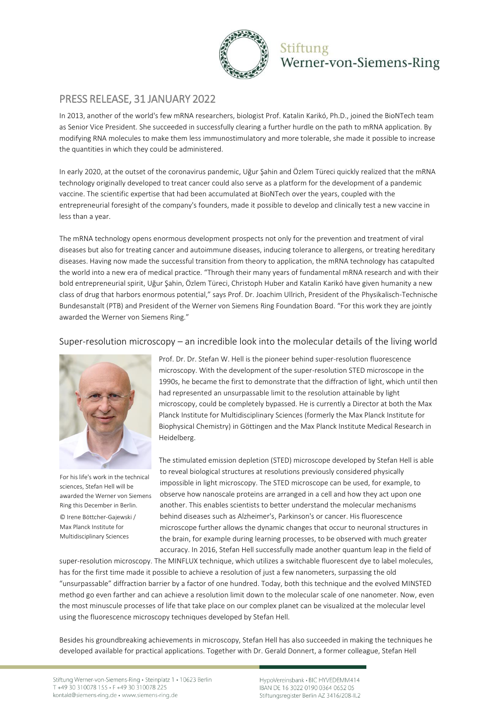

## Stiftung Werner-von-Siemens-Ring

## PRESS RELEASE, 31 JANUARY 2022

In 2013, another of the world's few mRNA researchers, biologist Prof. Katalin Karikó, Ph.D., joined the BioNTech team as Senior Vice President. She succeeded in successfully clearing a further hurdle on the path to mRNA application. By modifying RNA molecules to make them less immunostimulatory and more tolerable, she made it possible to increase the quantities in which they could be administered.

In early 2020, at the outset of the coronavirus pandemic, Uğur Şahin and Özlem Türeci quickly realized that the mRNA technology originally developed to treat cancer could also serve as a platform for the development of a pandemic vaccine. The scientific expertise that had been accumulated at BioNTech over the years, coupled with the entrepreneurial foresight of the company's founders, made it possible to develop and clinically test a new vaccine in less than a year.

The mRNA technology opens enormous development prospects not only for the prevention and treatment of viral diseases but also for treating cancer and autoimmune diseases, inducing tolerance to allergens, or treating hereditary diseases. Having now made the successful transition from theory to application, the mRNA technology has catapulted the world into a new era of medical practice. "Through their many years of fundamental mRNA research and with their bold entrepreneurial spirit, Uğur Şahin, Özlem Türeci, Christoph Huber and Katalin Karikó have given humanity a new class of drug that harbors enormous potential," says Prof. Dr. Joachim Ullrich, President of the Physikalisch-Technische Bundesanstalt (PTB) and President of the Werner von Siemens Ring Foundation Board. "For this work they are jointly awarded the Werner von Siemens Ring."

### Super-resolution microscopy – an incredible look into the molecular details of the living world



For his life's work in the technical sciences, Stefan Hell will be awarded the Werner von Siemens Ring this December in Berlin. © Irene Böttcher-Gajewski / Max Planck Institute for Multidisciplinary Sciences

Prof. Dr. Dr. Stefan W. Hell is the pioneer behind super-resolution fluorescence microscopy. With the development of the super-resolution STED microscope in the 1990s, he became the first to demonstrate that the diffraction of light, which until then had represented an unsurpassable limit to the resolution attainable by light microscopy, could be completely bypassed. He is currently a Director at both the Max Planck Institute for Multidisciplinary Sciences (formerly the Max Planck Institute for Biophysical Chemistry) in Göttingen and the Max Planck Institute Medical Research in Heidelberg.

The stimulated emission depletion (STED) microscope developed by Stefan Hell is able to reveal biological structures at resolutions previously considered physically impossible in light microscopy. The STED microscope can be used, for example, to observe how nanoscale proteins are arranged in a cell and how they act upon one another. This enables scientists to better understand the molecular mechanisms behind diseases such as Alzheimer's, Parkinson's or cancer. His fluorescence microscope further allows the dynamic changes that occur to neuronal structures in the brain, for example during learning processes, to be observed with much greater accuracy. In 2016, Stefan Hell successfully made another quantum leap in the field of

super-resolution microscopy. The MINFLUX technique, which utilizes a switchable fluorescent dye to label molecules, has for the first time made it possible to achieve a resolution of just a few nanometers, surpassing the old "unsurpassable" diffraction barrier by a factor of one hundred. Today, both this technique and the evolved MINSTED method go even farther and can achieve a resolution limit down to the molecular scale of one nanometer. Now, even the most minuscule processes of life that take place on our complex planet can be visualized at the molecular level using the fluorescence microscopy techniques developed by Stefan Hell.

Besides his groundbreaking achievements in microscopy, Stefan Hell has also succeeded in making the techniques he developed available for practical applications. Together with Dr. Gerald Donnert, a former colleague, Stefan Hell